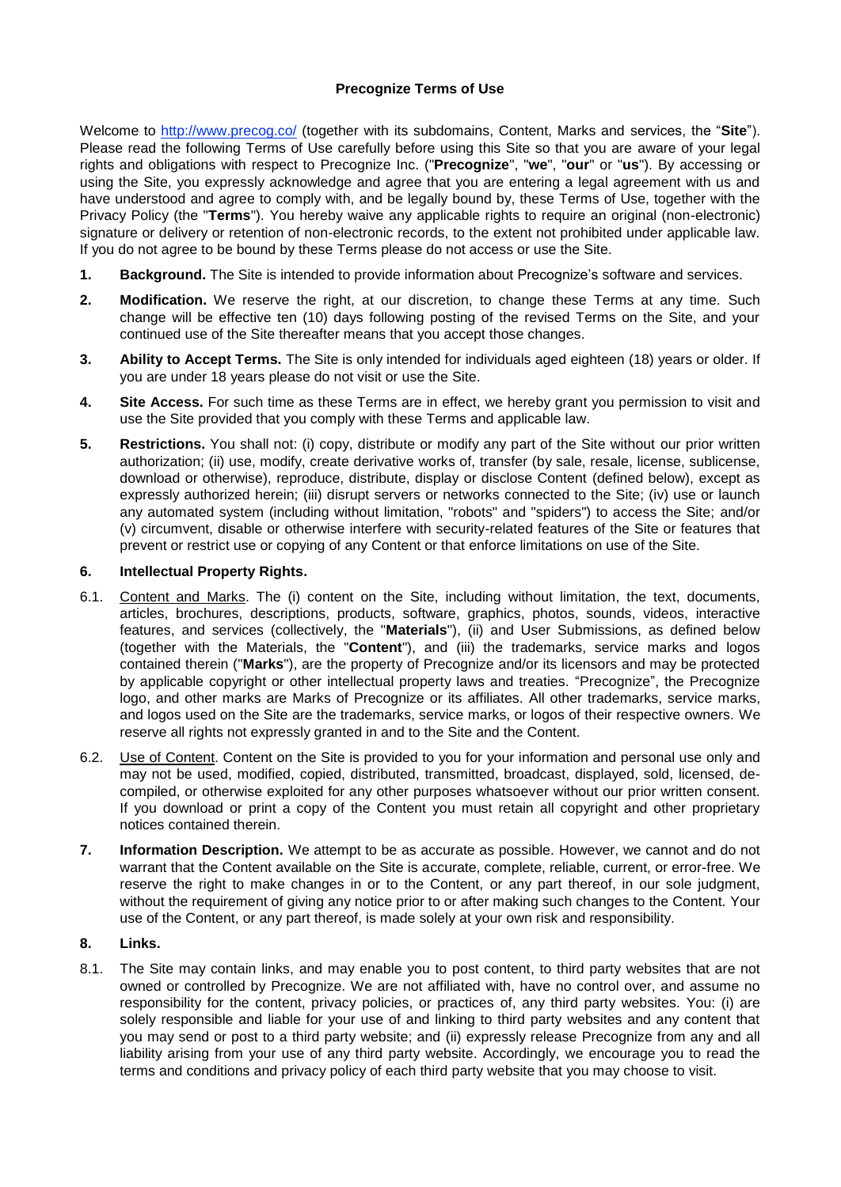### **Precognize Terms of Use**

Welcome to<http://www.precog.co/> (together with its subdomains, Content, Marks and services, the "**Site**"). Please read the following Terms of Use carefully before using this Site so that you are aware of your legal rights and obligations with respect to Precognize Inc. ("**Precognize**", "**we**", "**our**" or "**us**"). By accessing or using the Site, you expressly acknowledge and agree that you are entering a legal agreement with us and have understood and agree to comply with, and be legally bound by, these Terms of Use, together with the Privacy Policy (the "**Terms**"). You hereby waive any applicable rights to require an original (non-electronic) signature or delivery or retention of non-electronic records, to the extent not prohibited under applicable law. If you do not agree to be bound by these Terms please do not access or use the Site.

- **1. Background.** The Site is intended to provide information about Precognize's software and services.
- **2. Modification.** We reserve the right, at our discretion, to change these Terms at any time. Such change will be effective ten (10) days following posting of the revised Terms on the Site, and your continued use of the Site thereafter means that you accept those changes.
- **3. Ability to Accept Terms.** The Site is only intended for individuals aged eighteen (18) years or older. If you are under 18 years please do not visit or use the Site.
- **4. Site Access.** For such time as these Terms are in effect, we hereby grant you permission to visit and use the Site provided that you comply with these Terms and applicable law.
- **5. Restrictions.** You shall not: (i) copy, distribute or modify any part of the Site without our prior written authorization; (ii) use, modify, create derivative works of, transfer (by sale, resale, license, sublicense, download or otherwise), reproduce, distribute, display or disclose Content (defined below), except as expressly authorized herein; (iii) disrupt servers or networks connected to the Site; (iv) use or launch any automated system (including without limitation, "robots" and "spiders") to access the Site; and/or (v) circumvent, disable or otherwise interfere with security-related features of the Site or features that prevent or restrict use or copying of any Content or that enforce limitations on use of the Site.

#### **6. Intellectual Property Rights.**

- 6.1. Content and Marks. The (i) content on the Site, including without limitation, the text, documents, articles, brochures, descriptions, products, software, graphics, photos, sounds, videos, interactive features, and services (collectively, the "**Materials**"), (ii) and User Submissions, as defined below (together with the Materials, the "**Content**"), and (iii) the trademarks, service marks and logos contained therein ("**Marks**"), are the property of Precognize and/or its licensors and may be protected by applicable copyright or other intellectual property laws and treaties. "Precognize", the Precognize logo, and other marks are Marks of Precognize or its affiliates. All other trademarks, service marks, and logos used on the Site are the trademarks, service marks, or logos of their respective owners. We reserve all rights not expressly granted in and to the Site and the Content.
- 6.2. Use of Content. Content on the Site is provided to you for your information and personal use only and may not be used, modified, copied, distributed, transmitted, broadcast, displayed, sold, licensed, decompiled, or otherwise exploited for any other purposes whatsoever without our prior written consent. If you download or print a copy of the Content you must retain all copyright and other proprietary notices contained therein.
- **7. Information Description.** We attempt to be as accurate as possible. However, we cannot and do not warrant that the Content available on the Site is accurate, complete, reliable, current, or error-free. We reserve the right to make changes in or to the Content, or any part thereof, in our sole judgment, without the requirement of giving any notice prior to or after making such changes to the Content. Your use of the Content, or any part thereof, is made solely at your own risk and responsibility.

#### **8. Links.**

8.1. The Site may contain links, and may enable you to post content, to third party websites that are not owned or controlled by Precognize. We are not affiliated with, have no control over, and assume no responsibility for the content, privacy policies, or practices of, any third party websites. You: (i) are solely responsible and liable for your use of and linking to third party websites and any content that you may send or post to a third party website; and (ii) expressly release Precognize from any and all liability arising from your use of any third party website. Accordingly, we encourage you to read the terms and conditions and privacy policy of each third party website that you may choose to visit.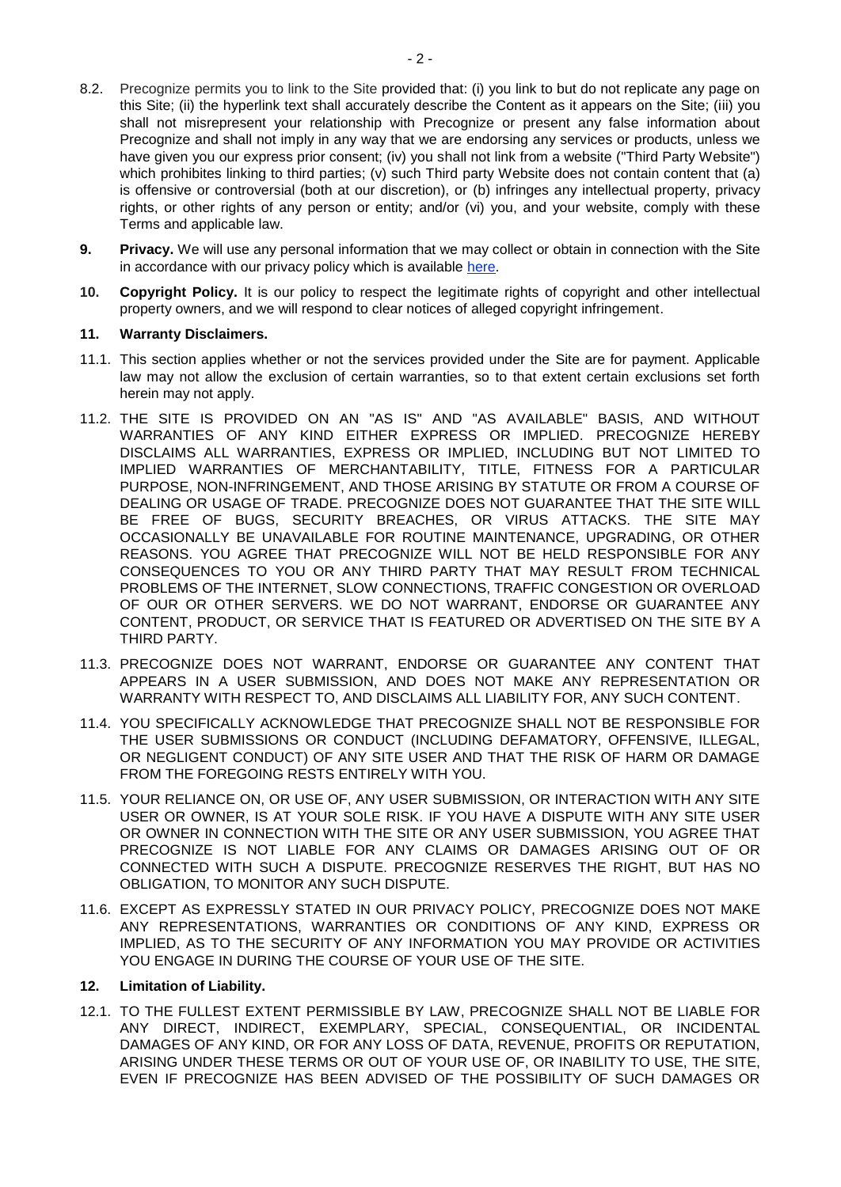- 8.2. Precognize permits you to link to the Site provided that: (i) you link to but do not replicate any page on this Site; (ii) the hyperlink text shall accurately describe the Content as it appears on the Site; (iii) you shall not misrepresent your relationship with Precognize or present any false information about Precognize and shall not imply in any way that we are endorsing any services or products, unless we have given you our express prior consent; (iv) you shall not link from a website ("Third Party Website") which prohibites linking to third parties; (v) such Third party Website does not contain content that (a) is offensive or controversial (both at our discretion), or (b) infringes any intellectual property, privacy rights, or other rights of any person or entity; and/or (vi) you, and your website, comply with these Terms and applicable law.
- **9. Privacy.** We will use any personal information that we may collect or obtain in connection with the Site in accordance with our privacy policy which is available [here.](https://docs.wixstatic.com/ugd/1cd2f4_6c3006e58f4845b791cbe811ce11261f.pdf)
- **10. Copyright Policy.** It is our policy to respect the legitimate rights of copyright and other intellectual property owners, and we will respond to clear notices of alleged copyright infringement.

## **11. Warranty Disclaimers.**

- 11.1. This section applies whether or not the services provided under the Site are for payment. Applicable law may not allow the exclusion of certain warranties, so to that extent certain exclusions set forth herein may not apply.
- 11.2. THE SITE IS PROVIDED ON AN "AS IS" AND "AS AVAILABLE" BASIS, AND WITHOUT WARRANTIES OF ANY KIND EITHER EXPRESS OR IMPLIED. PRECOGNIZE HEREBY DISCLAIMS ALL WARRANTIES, EXPRESS OR IMPLIED, INCLUDING BUT NOT LIMITED TO IMPLIED WARRANTIES OF MERCHANTABILITY, TITLE, FITNESS FOR A PARTICULAR PURPOSE, NON-INFRINGEMENT, AND THOSE ARISING BY STATUTE OR FROM A COURSE OF DEALING OR USAGE OF TRADE. PRECOGNIZE DOES NOT GUARANTEE THAT THE SITE WILL BE FREE OF BUGS, SECURITY BREACHES, OR VIRUS ATTACKS. THE SITE MAY OCCASIONALLY BE UNAVAILABLE FOR ROUTINE MAINTENANCE, UPGRADING, OR OTHER REASONS. YOU AGREE THAT PRECOGNIZE WILL NOT BE HELD RESPONSIBLE FOR ANY CONSEQUENCES TO YOU OR ANY THIRD PARTY THAT MAY RESULT FROM TECHNICAL PROBLEMS OF THE INTERNET, SLOW CONNECTIONS, TRAFFIC CONGESTION OR OVERLOAD OF OUR OR OTHER SERVERS. WE DO NOT WARRANT, ENDORSE OR GUARANTEE ANY CONTENT, PRODUCT, OR SERVICE THAT IS FEATURED OR ADVERTISED ON THE SITE BY A THIRD PARTY.
- 11.3. PRECOGNIZE DOES NOT WARRANT, ENDORSE OR GUARANTEE ANY CONTENT THAT APPEARS IN A USER SUBMISSION, AND DOES NOT MAKE ANY REPRESENTATION OR WARRANTY WITH RESPECT TO, AND DISCLAIMS ALL LIABILITY FOR, ANY SUCH CONTENT.
- 11.4. YOU SPECIFICALLY ACKNOWLEDGE THAT PRECOGNIZE SHALL NOT BE RESPONSIBLE FOR THE USER SUBMISSIONS OR CONDUCT (INCLUDING DEFAMATORY, OFFENSIVE, ILLEGAL, OR NEGLIGENT CONDUCT) OF ANY SITE USER AND THAT THE RISK OF HARM OR DAMAGE FROM THE FOREGOING RESTS ENTIRELY WITH YOU.
- 11.5. YOUR RELIANCE ON, OR USE OF, ANY USER SUBMISSION, OR INTERACTION WITH ANY SITE USER OR OWNER, IS AT YOUR SOLE RISK. IF YOU HAVE A DISPUTE WITH ANY SITE USER OR OWNER IN CONNECTION WITH THE SITE OR ANY USER SUBMISSION, YOU AGREE THAT PRECOGNIZE IS NOT LIABLE FOR ANY CLAIMS OR DAMAGES ARISING OUT OF OR CONNECTED WITH SUCH A DISPUTE. PRECOGNIZE RESERVES THE RIGHT, BUT HAS NO OBLIGATION, TO MONITOR ANY SUCH DISPUTE.
- 11.6. EXCEPT AS EXPRESSLY STATED IN OUR PRIVACY POLICY, PRECOGNIZE DOES NOT MAKE ANY REPRESENTATIONS, WARRANTIES OR CONDITIONS OF ANY KIND, EXPRESS OR IMPLIED, AS TO THE SECURITY OF ANY INFORMATION YOU MAY PROVIDE OR ACTIVITIES YOU ENGAGE IN DURING THE COURSE OF YOUR USE OF THE SITE.

# **12. Limitation of Liability.**

12.1. TO THE FULLEST EXTENT PERMISSIBLE BY LAW, PRECOGNIZE SHALL NOT BE LIABLE FOR ANY DIRECT, INDIRECT, EXEMPLARY, SPECIAL, CONSEQUENTIAL, OR INCIDENTAL DAMAGES OF ANY KIND, OR FOR ANY LOSS OF DATA, REVENUE, PROFITS OR REPUTATION, ARISING UNDER THESE TERMS OR OUT OF YOUR USE OF, OR INABILITY TO USE, THE SITE, EVEN IF PRECOGNIZE HAS BEEN ADVISED OF THE POSSIBILITY OF SUCH DAMAGES OR